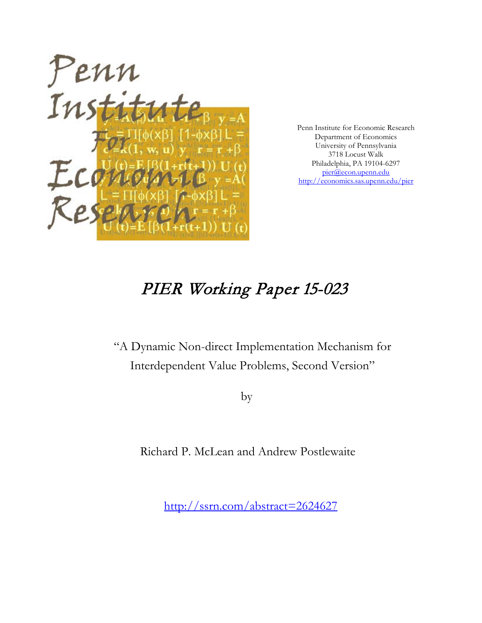

Penn Institute for Economic Research Department of Economics University of Pennsylvania 3718 Locust Walk Philadelphia, PA 19104-6297 [pier@econ.upenn.edu](mailto:pier@econ.upenn.edu) <http://economics.sas.upenn.edu/pier>

# PIER Working Paper 15-023

"A Dynamic Non-direct Implementation Mechanism for Interdependent Value Problems, Second Version"

by

Richard P. McLean and Andrew Postlewaite

[http://ssrn.com/abstract=2](http://ssrn.com/abstract_id=)624627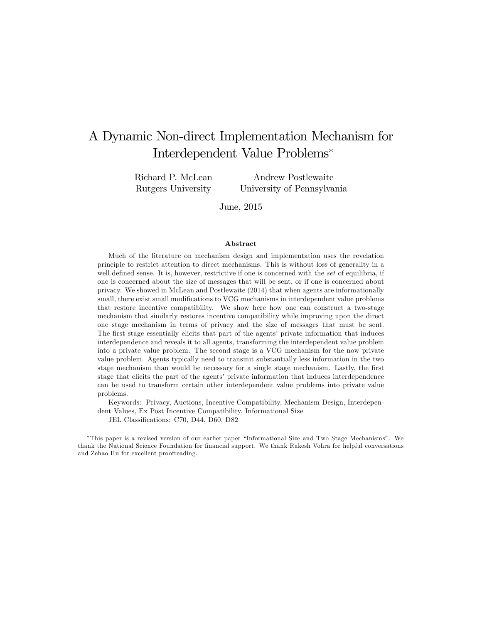## A Dynamic Non-direct Implementation Mechanism for Interdependent Value Problems

Richard P. McLean Rutgers University

Andrew Postlewaite University of Pennsylvania

June, 2015

#### Abstract

Much of the literature on mechanism design and implementation uses the revelation principle to restrict attention to direct mechanisms. This is without loss of generality in a well defined sense. It is, however, restrictive if one is concerned with the set of equilibria, if one is concerned about the size of messages that will be sent, or if one is concerned about privacy. We showed in McLean and Postlewaite (2014) that when agents are informationally small, there exist small modifications to VCG mechanisms in interdependent value problems that restore incentive compatibility. We show here how one can construct a two-stage mechanism that similarly restores incentive compatibility while improving upon the direct one stage mechanism in terms of privacy and the size of messages that must be sent. The first stage essentially elicits that part of the agents' private information that induces interdependence and reveals it to all agents, transforming the interdependent value problem into a private value problem. The second stage is a VCG mechanism for the now private value problem. Agents typically need to transmit substantially less information in the two stage mechanism than would be necessary for a single stage mechanism. Lastly, the first stage that elicits the part of the agents' private information that induces interdependence can be used to transform certain other interdependent value problems into private value problems.

Keywords: Privacy, Auctions, Incentive Compatibility, Mechanism Design, Interdependent Values, Ex Post Incentive Compatibility, Informational Size

JEL Classifications: C70, D44, D60, D82

<sup>\*</sup>This paper is a revised version of our earlier paper "Informational Size and Two Stage Mechanisms". We thank the National Science Foundation for financial support. We thank Rakesh Vohra for helpful conversations and Zehao Hu for excellent proofreading.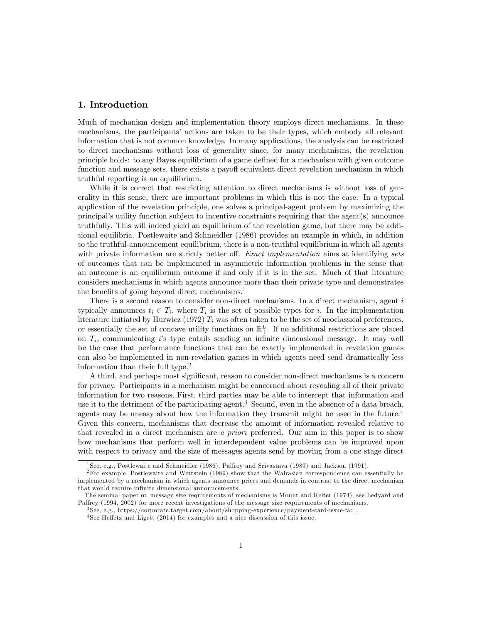## 1. Introduction

Much of mechanism design and implementation theory employs direct mechanisms. In these mechanisms, the participants' actions are taken to be their types, which embody all relevant information that is not common knowledge. In many applications, the analysis can be restricted to direct mechanisms without loss of generality since, for many mechanisms, the revelation principle holds: to any Bayes equilibrium of a game defined for a mechanism with given outcome function and message sets, there exists a payoff equivalent direct revelation mechanism in which truthful reporting is an equilibrium.

While it is correct that restricting attention to direct mechanisms is without loss of generality in this sense, there are important problems in which this is not the case. In a typical application of the revelation principle, one solves a principal-agent problem by maximizing the principalís utility function subject to incentive constraints requiring that the agent(s) announce truthfully. This will indeed yield an equilibrium of the revelation game, but there may be additional equilibria. Postlewaite and Schmeidler (1986) provides an example in which, in addition to the truthful-announcement equilibrium, there is a non-truthful equilibrium in which all agents with private information are strictly better off. Exact implementation aims at identifying sets of outcomes that can be implemented in asymmetric information problems in the sense that an outcome is an equilibrium outcome if and only if it is in the set. Much of that literature considers mechanisms in which agents announce more than their private type and demonstrates the benefits of going beyond direct mechanisms.<sup>1</sup>

There is a second reason to consider non-direct mechanisms. In a direct mechanism, agent i typically announces  $t_i \in T_i$ , where  $T_i$  is the set of possible types for i. In the implementation literature initiated by Hurwicz (1972)  $T_i$  was often taken to be the set of neoclassical preferences, or essentially the set of concave utility functions on  $\mathbb{R}^L_+$ . If no additional restrictions are placed on  $T_i$ , communicating is type entails sending an infinite dimensional message. It may well be the case that performance functions that can be exactly implemented in revelation games can also be implemented in non-revelation games in which agents need send dramatically less information than their full type.<sup>2</sup>

A third, and perhaps most significant, reason to consider non-direct mechanisms is a concern for privacy. Participants in a mechanism might be concerned about revealing all of their private information for two reasons. First, third parties may be able to intercept that information and use it to the detriment of the participating agent.<sup>3</sup> Second, even in the absence of a data breach, agents may be uneasy about how the information they transmit might be used in the future.<sup>4</sup> Given this concern, mechanisms that decrease the amount of information revealed relative to that revealed in a direct mechanism are a priori preferred. Our aim in this paper is to show how mechanisms that perform well in interdependent value problems can be improved upon with respect to privacy and the size of messages agents send by moving from a one stage direct

<sup>1</sup> See, e.g., Postlewaite and Schmeidler (1986), Palfrey and Srivastava (1989) and Jackson (1991).

<sup>2</sup>For example, Postlewaite and Wettstein (1989) show that the Walrasian correspondence can essentially be implemented by a mechanism in which agents announce prices and demands in contrast to the direct mechanism that would require infinite dimensional announcements.

The seminal paper on message size requirements of mechanisms is Mount and Reiter (1974); see Ledyard and Palfrey (1994, 2002) for more recent investigations of the message size requirements of mechanisms.

<sup>3</sup> See, e.g., https://corporate.target.com/about/shopping-experience/payment-card-issue-faq .

 $4$ See Heffetz and Ligett (2014) for examples and a nice discussion of this issue.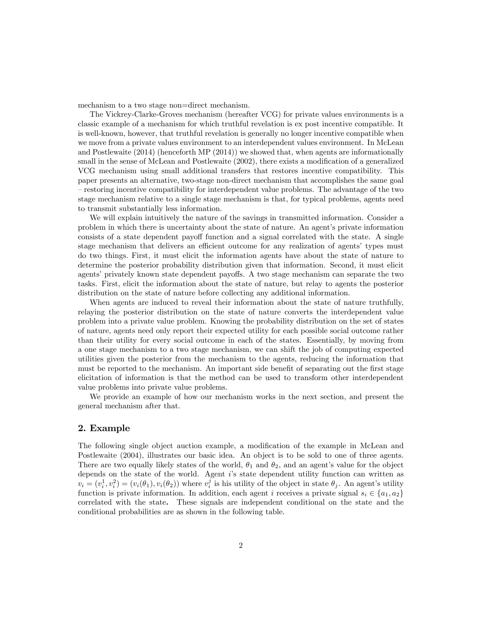mechanism to a two stage non=direct mechanism.

The Vickrey-Clarke-Groves mechanism (hereafter VCG) for private values environments is a classic example of a mechanism for which truthful revelation is ex post incentive compatible. It is well-known, however, that truthful revelation is generally no longer incentive compatible when we move from a private values environment to an interdependent values environment. In McLean and Postlewaite (2014) (henceforth MP (2014)) we showed that, when agents are informationally small in the sense of McLean and Postlewaite (2002), there exists a modification of a generalized VCG mechanism using small additional transfers that restores incentive compatibility. This paper presents an alternative, two-stage non-direct mechanism that accomplishes the same goal – restoring incentive compatibility for interdependent value problems. The advantage of the two stage mechanism relative to a single stage mechanism is that, for typical problems, agents need to transmit substantially less information.

We will explain intuitively the nature of the savings in transmitted information. Consider a problem in which there is uncertainty about the state of nature. An agent's private information consists of a state dependent payoff function and a signal correlated with the state. A single stage mechanism that delivers an efficient outcome for any realization of agents' types must do two things. First, it must elicit the information agents have about the state of nature to determine the posterior probability distribution given that information. Second, it must elicit agents' privately known state dependent payoffs. A two stage mechanism can separate the two tasks. First, elicit the information about the state of nature, but relay to agents the posterior distribution on the state of nature before collecting any additional information.

When agents are induced to reveal their information about the state of nature truthfully, relaying the posterior distribution on the state of nature converts the interdependent value problem into a private value problem. Knowing the probability distribution on the set of states of nature, agents need only report their expected utility for each possible social outcome rather than their utility for every social outcome in each of the states. Essentially, by moving from a one stage mechanism to a two stage mechanism, we can shift the job of computing expected utilities given the posterior from the mechanism to the agents, reducing the information that must be reported to the mechanism. An important side benefit of separating out the first stage elicitation of information is that the method can be used to transform other interdependent value problems into private value problems.

We provide an example of how our mechanism works in the next section, and present the general mechanism after that.

## 2. Example

The following single object auction example, a modification of the example in McLean and Postlewaite (2004), illustrates our basic idea. An object is to be sold to one of three agents. There are two equally likely states of the world,  $\theta_1$  and  $\theta_2$ , and an agent's value for the object depends on the state of the world. Agent is state dependent utility function can written as  $v_i = (v_i^1, v_i^2) = (v_i(\theta_1), v_i(\theta_2))$  where  $v_i^j$  is his utility of the object in state  $\theta_j$ . An agent's utility function is private information. In addition, each agent i receives a private signal  $s_i \in \{a_1, a_2\}$ correlated with the state. These signals are independent conditional on the state and the conditional probabilities are as shown in the following table.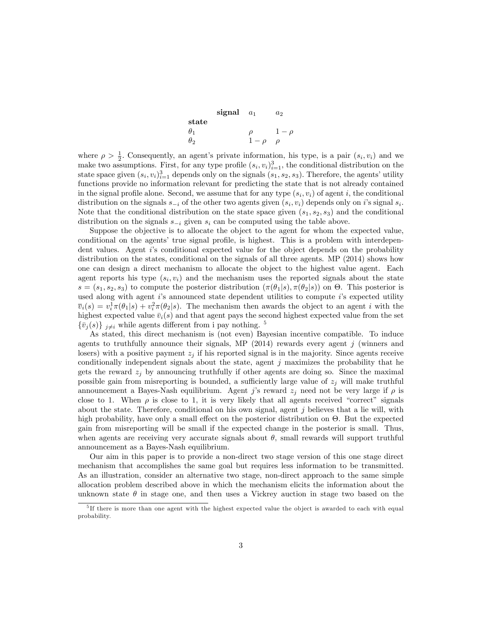|            | signal | $a_1$    | a <sub>2</sub> |
|------------|--------|----------|----------------|
| state      |        |          |                |
| $\theta_1$ |        |          | $1-\rho$       |
| $\theta_2$ |        | $1-\rho$ | ρ              |

where  $\rho > \frac{1}{2}$ . Consequently, an agent's private information, his type, is a pair  $(s_i, v_i)$  and we make two assumptions. First, for any type profile  $(s_i, v_i)_{i=1}^3$ , the conditional distribution on the state space given  $(s_i, v_i)_{i=1}^3$  depends only on the signals  $(s_1, s_2, s_3)$ . Therefore, the agents' utility functions provide no information relevant for predicting the state that is not already contained in the signal profile alone. Second, we assume that for any type  $(s_i, v_i)$  of agent i, the conditional distribution on the signals  $s_{-i}$  of the other two agents given  $(s_i, v_i)$  depends only on i's signal  $s_i$ . Note that the conditional distribution on the state space given  $(s_1, s_2, s_3)$  and the conditional distribution on the signals  $s_{-i}$  given  $s_i$  can be computed using the table above.

Suppose the objective is to allocate the object to the agent for whom the expected value, conditional on the agents' true signal profile, is highest. This is a problem with interdependent values. Agent is conditional expected value for the object depends on the probability distribution on the states, conditional on the signals of all three agents. MP (2014) shows how one can design a direct mechanism to allocate the object to the highest value agent. Each agent reports his type  $(s_i, v_i)$  and the mechanism uses the reported signals about the state  $s = (s_1, s_2, s_3)$  to compute the posterior distribution  $(\pi(\theta_1|s), \pi(\theta_2|s))$  on  $\Theta$ . This posterior is used along with agent is announced state dependent utilities to compute is expected utility  $\overline{v}_i(s) = v_i^1 \pi(\theta_1|s) + v_i^2 \pi(\theta_2|s)$ . The mechanism then awards the object to an agent *i* with the highest expected value  $\bar{v}_i(s)$  and that agent pays the second highest expected value from the set  $\{\bar{v}_j(s)\}\,_{j\neq i}$  while agents different from i pay nothing. <sup>5</sup>

As stated, this direct mechanism is (not even) Bayesian incentive compatible. To induce agents to truthfully announce their signals, MP  $(2014)$  rewards every agent j (winners and losers) with a positive payment  $z_j$  if his reported signal is in the majority. Since agents receive conditionally independent signals about the state, agent  $j$  maximizes the probability that he gets the reward  $z_j$  by announcing truthfully if other agents are doing so. Since the maximal possible gain from misreporting is bounded, a sufficiently large value of  $z_j$  will make truthful announcement a Bayes-Nash equilibrium. Agent j's reward  $z_j$  need not be very large if  $\rho$  is close to 1. When  $\rho$  is close to 1, it is very likely that all agents received "correct" signals about the state. Therefore, conditional on his own signal, agent  $j$  believes that a lie will, with high probability, have only a small effect on the posterior distribution on  $\Theta$ . But the expected gain from misreporting will be small if the expected change in the posterior is small. Thus, when agents are receiving very accurate signals about  $\theta$ , small rewards will support truthful announcement as a Bayes-Nash equilibrium.

Our aim in this paper is to provide a non-direct two stage version of this one stage direct mechanism that accomplishes the same goal but requires less information to be transmitted. As an illustration, consider an alternative two stage, non-direct approach to the same simple allocation problem described above in which the mechanism elicits the information about the unknown state  $\theta$  in stage one, and then uses a Vickrey auction in stage two based on the

<sup>&</sup>lt;sup>5</sup>If there is more than one agent with the highest expected value the object is awarded to each with equal probability.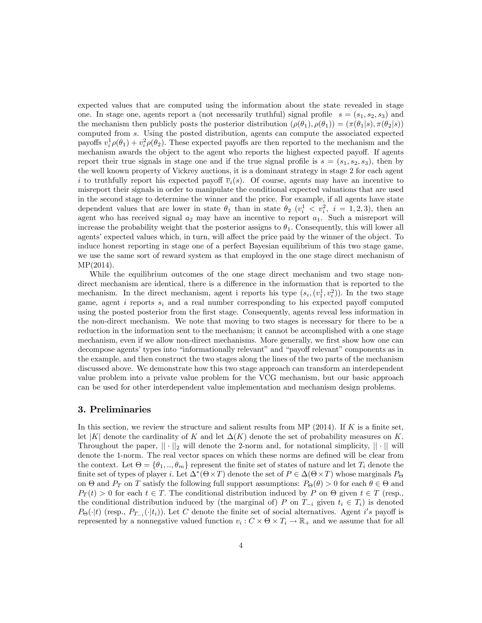expected values that are computed using the information about the state revealed in stage one. In stage one, agents report a (not necessarily truthful) signal profile  $s = (s_1, s_2, s_3)$  and the mechanism then publicly posts the posterior distribution  $(\rho(\theta_1), \rho(\theta_1)) = (\pi(\theta_1|s), \pi(\theta_2|s))$ computed from s. Using the posted distribution, agents can compute the associated expected payoffs  $v_i^1 \rho(\theta_1) + v_i^2 \rho(\theta_2)$ . These expected payoffs are then reported to the mechanism and the mechanism awards the object to the agent who reports the highest expected payoff. If agents report their true signals in stage one and if the true signal profile is  $s = (s_1, s_2, s_3)$ , then by the well known property of Vickrey auctions, it is a dominant strategy in stage 2 for each agent i to truthfully report his expected payoff  $\overline{v}_i(s)$ . Of course, agents may have an incentive to misreport their signals in order to manipulate the conditional expected valuations that are used in the second stage to determine the winner and the price. For example, if all agents have state dependent values that are lower in state  $\theta_1$  than in state  $\theta_2$  ( $v_i^1 < v_i^2$ ,  $i = 1, 2, 3$ ), then an agent who has received signal  $a_2$  may have an incentive to report  $a_1$ . Such a misreport will increase the probability weight that the posterior assigns to  $\theta_1$ . Consequently, this will lower all agents' expected values which, in turn, will affect the price paid by the winner of the object. To induce honest reporting in stage one of a perfect Bayesian equilibrium of this two stage game, we use the same sort of reward system as that employed in the one stage direct mechanism of MP(2014).

While the equilibrium outcomes of the one stage direct mechanism and two stage nondirect mechanism are identical, there is a difference in the information that is reported to the mechanism. In the direct mechanism, agent i reports his type  $(s_i, (v_1^1, v_i^2))$ . In the two stage game, agent i reports  $s_i$  and a real number corresponding to his expected payoff computed using the posted posterior from the first stage. Consequently, agents reveal less information in the non-direct mechanism. We note that moving to two stages is necessary for there to be a reduction in the information sent to the mechanism; it cannot be accomplished with a one stage mechanism, even if we allow non-direct mechanisms. More generally, we first show how one can decompose agents' types into "informationally relevant" and "payoff relevant" components as in the example, and then construct the two stages along the lines of the two parts of the mechanism discussed above. We demonstrate how this two stage approach can transform an interdependent value problem into a private value problem for the VCG mechanism, but our basic approach can be used for other interdependent value implementation and mechanism design problems.

#### 3. Preliminaries

In this section, we review the structure and salient results from MP (2014). If  $K$  is a finite set, let |K| denote the cardinality of K and let  $\Delta(K)$  denote the set of probability measures on K. Throughout the paper,  $|| \cdot ||_2$  will denote the 2-norm and, for notational simplicity,  $|| \cdot ||$  will denote the 1-norm. The real vector spaces on which these norms are defined will be clear from the context. Let  $\Theta = {\theta_1, ..., \theta_m}$  represent the finite set of states of nature and let  $T_i$  denote the finite set of types of player *i*. Let  $\Delta^*(\Theta \times T)$  denote the set of  $P \in \Delta(\Theta \times T)$  whose marginals  $P_{\Theta}$ on  $\Theta$  and  $P_T$  on T satisfy the following full support assumptions:  $P_{\Theta}(\theta) > 0$  for each  $\theta \in \Theta$  and  $P_T(t) > 0$  for each  $t \in T$ . The conditional distribution induced by P on  $\Theta$  given  $t \in T$  (resp., the conditional distribution induced by (the marginal of) P on  $T_{-i}$  given  $t_i \in T_i$ ) is denoted  $P_{\Theta}(\cdot|t)$  (resp.,  $P_{T_{-i}}(\cdot|t_i)$ ). Let C denote the finite set of social alternatives. Agent i's payoff is represented by a nonnegative valued function  $v_i : C \times \Theta \times T_i \to \mathbb{R}_+$  and we assume that for all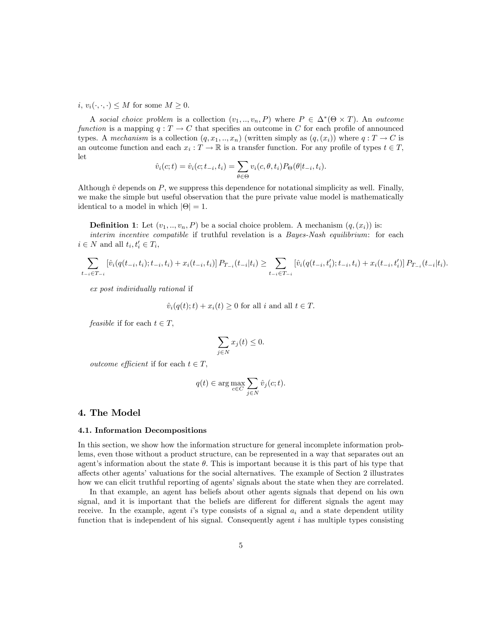i,  $v_i(\cdot, \cdot, \cdot) \leq M$  for some  $M \geq 0$ .

A social choice problem is a collection  $(v_1, ..., v_n, P)$  where  $P \in \Delta^*(\Theta \times T)$ . An outcome function is a mapping  $q: T \to C$  that specifies an outcome in C for each profile of announced types. A mechanism is a collection  $(q, x_1, ..., x_n)$  (written simply as  $(q, (x_i))$  where  $q: T \to C$  is an outcome function and each  $x_i : T \to \mathbb{R}$  is a transfer function. For any profile of types  $t \in T$ , let

$$
\hat{v}_i(c;t) = \hat{v}_i(c;t_{-i},t_i) = \sum_{\theta \in \Theta} v_i(c,\theta,t_i) P_{\Theta}(\theta | t_{-i},t_i).
$$

Although  $\hat{v}$  depends on P, we suppress this dependence for notational simplicity as well. Finally, we make the simple but useful observation that the pure private value model is mathematically identical to a model in which  $|\Theta| = 1$ .

**Definition 1:** Let  $(v_1, ..., v_n, P)$  be a social choice problem. A mechanism  $(q, (x_i))$  is: interim incentive compatible if truthful revelation is a *Bayes-Nash equilibrium*: for each  $i \in N$  and all  $t_i, t'_i \in T_i$ ,

$$
\sum_{t_{-i}\in T_{-i}} \left[ \hat{v}_i(q(t_{-i},t_i);t_{-i},t_i) + x_i(t_{-i},t_i) \right] P_{T_{-i}}(t_{-i}|t_i) \ge \sum_{t_{-i}\in T_{-i}} \left[ \hat{v}_i(q(t_{-i},t_i');t_{-i},t_i) + x_i(t_{-i},t_i') \right] P_{T_{-i}}(t_{-i}|t_i).
$$

ex post individually rational if

$$
\hat{v}_i(q(t);t) + x_i(t) \ge 0
$$
 for all  $i$  and all  $t \in T$ .

feasible if for each  $t \in T$ ,

$$
\sum_{j \in N} x_j(t) \le 0.
$$

*outcome efficient* if for each  $t \in T$ ,

$$
q(t)\in \arg\max_{c\in C}\sum_{j\in N}\hat{v}_j(c;t).
$$

#### 4. The Model

## 4.1. Information Decompositions

In this section, we show how the information structure for general incomplete information problems, even those without a product structure, can be represented in a way that separates out an agent's information about the state  $\theta$ . This is important because it is this part of his type that affects other agents' valuations for the social alternatives. The example of Section 2 illustrates how we can elicit truthful reporting of agents' signals about the state when they are correlated.

In that example, an agent has beliefs about other agents signals that depend on his own signal, and it is important that the beliefs are different for different signals the agent may receive. In the example, agent is type consists of a signal  $a_i$  and a state dependent utility function that is independent of his signal. Consequently agent  $i$  has multiple types consisting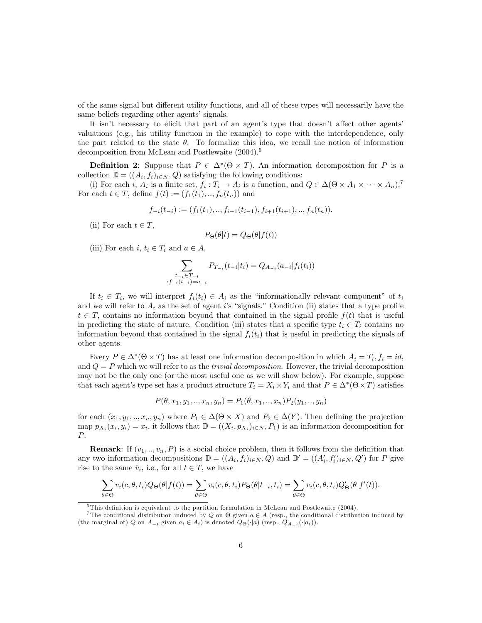of the same signal but different utility functions, and all of these types will necessarily have the same beliefs regarding other agents' signals.

It isn't necessary to elicit that part of an agent's type that doesn't affect other agents' valuations (e.g., his utility function in the example) to cope with the interdependence, only the part related to the state  $\theta$ . To formalize this idea, we recall the notion of information decomposition from McLean and Postlewaite  $(2004).$ <sup>6</sup>

**Definition 2:** Suppose that  $P \in \Delta^*(\Theta \times T)$ . An information decomposition for P is a collection  $\mathbb{D} = ((A_i, f_i)_{i \in N}, Q)$  satisfying the following conditions:

(i) For each i,  $A_i$  is a finite set,  $f_i: T_i \to A_i$  is a function, and  $Q \in \Delta(\Theta \times A_1 \times \cdots \times A_n)^T$ For each  $t \in T$ , define  $f(t) := (f_1(t_1), ..., f_n(t_n))$  and

$$
f_{-i}(t_{-i}) := (f_1(t_1), \dots, f_{i-1}(t_{i-1}), f_{i+1}(t_{i+1}), \dots, f_n(t_n)).
$$

(ii) For each  $t \in T$ ,

$$
P_{\Theta}(\theta|t) = Q_{\Theta}(\theta|f(t))
$$

(iii) For each i,  $t_i \in T_i$  and  $a \in A$ ,

$$
\sum_{\substack{t_{-i} \in T_{-i} \\ f_{-i}(t_{-i}) = a_{-i}}} P_{T_{-i}}(t_{-i}|t_i) = Q_{A_{-i}}(a_{-i}|f_i(t_i))
$$

If  $t_i \in T_i$ , we will interpret  $f_i(t_i) \in A_i$  as the "informationally relevant component" of  $t_i$ and we will refer to  $A_i$  as the set of agent is "signals." Condition (ii) states that a type profile  $t \in T$ , contains no information beyond that contained in the signal profile  $f(t)$  that is useful in predicting the state of nature. Condition (iii) states that a specific type  $t_i \in T_i$  contains no information beyond that contained in the signal  $f_i(t_i)$  that is useful in predicting the signals of other agents.

Every  $P \in \Delta^*(\Theta \times T)$  has at least one information decomposition in which  $A_i = T_i$ ,  $f_i = id$ , and  $Q = P$  which we will refer to as the *trivial decomposition*. However, the trivial decomposition may not be the only one (or the most useful one as we will show below). For example, suppose that each agent's type set has a product structure  $T_i = X_i \times Y_i$  and that  $P \in \Delta^*(\Theta \times T)$  satisfies

$$
P(\theta, x_1, y_1, .., x_n, y_n) = P_1(\theta, x_1, .., x_n) P_2(y_1, .., y_n)
$$

for each  $(x_1, y_1, ..., x_n, y_n)$  where  $P_1 \in \Delta(\Theta \times X)$  and  $P_2 \in \Delta(Y)$ . Then defining the projection map  $p_{X_i}(x_i, y_i) = x_i$ , it follows that  $\mathbb{D} = ((X_i, p_{X_i})_{i \in N}, P_1)$  is an information decomposition for  $P$ .

**Remark:** If  $(v_1, ..., v_n, P)$  is a social choice problem, then it follows from the definition that any two information decompositions  $\mathbb{D} = ((A_i, f_i)_{i \in N}, Q)$  and  $\mathbb{D}' = ((A'_i, f'_i)_{i \in N}, Q')$  for P give rise to the same  $\hat{v}_i$ , i.e., for all  $t \in T$ , we have

$$
\sum_{\theta \in \Theta} v_i(c, \theta, t_i) Q_{\Theta}(\theta | f(t)) = \sum_{\theta \in \Theta} v_i(c, \theta, t_i) P_{\Theta}(\theta | t_{-i}, t_i) = \sum_{\theta \in \Theta} v_i(c, \theta, t_i) Q'_{\Theta}(\theta | f'(t)).
$$

 ${}^{6}$ This definition is equivalent to the partition formulation in McLean and Postlewaite (2004).

<sup>&</sup>lt;sup>7</sup>The conditional distribution induced by Q on  $\Theta$  given  $a \in A$  (resp., the conditional distribution induced by (the marginal of) Q on  $A_{-i}$  given  $a_i \in A_i$ ) is denoted  $Q_{\Theta}(\cdot|a)$  (resp.,  $Q_{A_{-i}}(\cdot|a_i)$ ).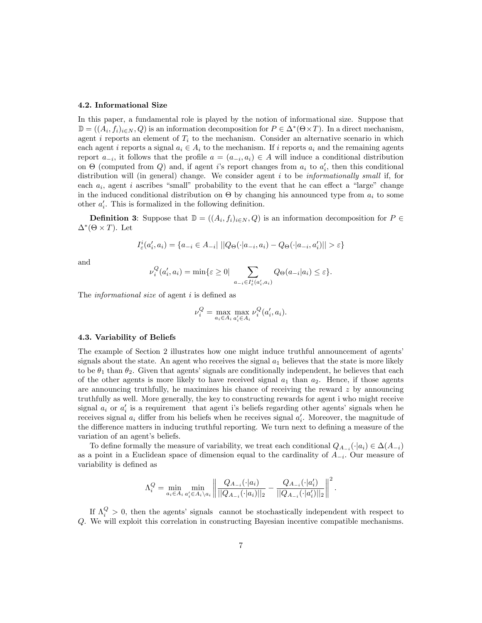#### 4.2. Informational Size

In this paper, a fundamental role is played by the notion of informational size. Suppose that  $\mathbb{D} = ((A_i, f_i)_{i \in N}, Q)$  is an information decomposition for  $P \in \Delta^*(\Theta \times T)$ . In a direct mechanism, agent i reports an element of  $T_i$  to the mechanism. Consider an alternative scenario in which each agent i reports a signal  $a_i \in A_i$  to the mechanism. If i reports  $a_i$  and the remaining agents report  $a_{-i}$ , it follows that the profile  $a = (a_{-i}, a_i) \in A$  will induce a conditional distribution on  $\Theta$  (computed from Q) and, if agent *i*'s report changes from  $a_i$  to  $a'_i$ , then this conditional distribution will (in general) change. We consider agent  $i$  to be *informationally small* if, for each  $a_i$ , agent i ascribes "small" probability to the event that he can effect a "large" change in the induced conditional distribution on  $\Theta$  by changing his announced type from  $a_i$  to some other  $a'_i$ . This is formalized in the following definition.

**Definition 3:** Suppose that  $\mathbb{D} = ((A_i, f_i)_{i \in N}, Q)$  is an information decomposition for  $P \in$  $\Delta^*(\Theta \times T)$ . Let

$$
I_{\varepsilon}^{i}(a'_{i}, a_{i}) = \{a_{-i} \in A_{-i} | ||Q_{\Theta}(\cdot|a_{-i}, a_{i}) - Q_{\Theta}(\cdot|a_{-i}, a'_{i})|| > \varepsilon\}
$$

and

$$
\nu_i^Q(a_i', a_i) = \min\{\varepsilon \ge 0 \mid \sum_{a_{-i} \in I_{\varepsilon}^i(a_i', a_i)} Q_{\Theta}(a_{-i}|a_i) \le \varepsilon\}.
$$

The *informational size* of agent  $i$  is defined as

$$
\nu_i^Q = \max_{a_i \in A_i} \max_{a'_i \in A_i} \nu_i^Q(a'_i, a_i).
$$

#### 4.3. Variability of Beliefs

The example of Section 2 illustrates how one might induce truthful announcement of agents' signals about the state. An agent who receives the signal  $a_1$  believes that the state is more likely to be  $\theta_1$  than  $\theta_2$ . Given that agents' signals are conditionally independent, he believes that each of the other agents is more likely to have received signal  $a_1$  than  $a_2$ . Hence, if those agents are announcing truthfully, he maximizes his chance of receiving the reward  $z$  by announcing truthfully as well. More generally, the key to constructing rewards for agent i who might receive signal  $a_i$  or  $a'_i$  is a requirement that agent i's beliefs regarding other agents' signals when he receives signal  $a_i$  differ from his beliefs when he receives signal  $a'_i$ . Moreover, the magnitude of the difference matters in inducing truthful reporting. We turn next to defining a measure of the variation of an agent's beliefs.

To define formally the measure of variability, we treat each conditional  $Q_{A-i}(\cdot|a_i) \in \Delta(A_{-i})$ as a point in a Euclidean space of dimension equal to the cardinality of  $A_{-i}$ . Our measure of variability is defined as

$$
\Lambda_i^Q = \min_{a_i \in A_i} \min_{a'_i \in A_i \setminus a_i} \left\| \frac{Q_{A_{-i}}(\cdot | a_i)}{\| Q_{A_{-i}}(\cdot | a_i) \|_2} - \frac{Q_{A_{-i}}(\cdot | a'_i)}{\| Q_{A_{-i}}(\cdot | a'_i) \|_2} \right\|^2.
$$

If  $\Lambda_i^Q > 0$ , then the agents' signals cannot be stochastically independent with respect to Q. We will exploit this correlation in constructing Bayesian incentive compatible mechanisms.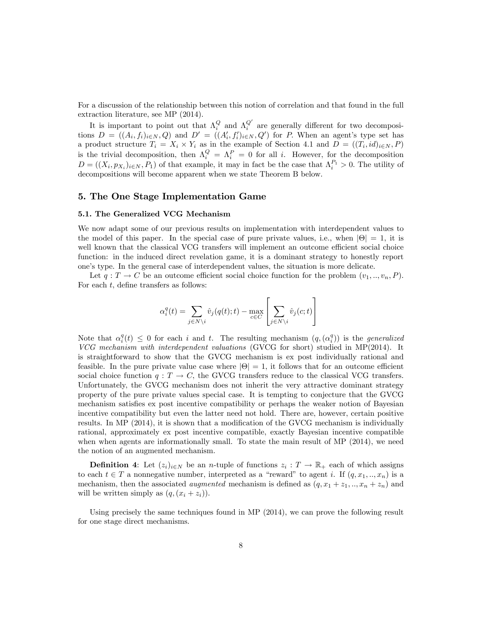For a discussion of the relationship between this notion of correlation and that found in the full extraction literature, see MP (2014).

It is important to point out that  $\Lambda_i^Q$  and  $\Lambda_i^{Q'}$  are generally different for two decompositions  $D = ((A_i, f_i)_{i \in N}, Q)$  and  $D' = ((A'_i, f'_i)_{i \in N}, Q')$  for P. When an agent's type set has a product structure  $T_i = X_i \times Y_i$  as in the example of Section 4.1 and  $D = ((T_i, id)_{i \in N}, P)$ is the trivial decomposition, then  $\Lambda_i^Q = \Lambda_i^P = 0$  for all i. However, for the decomposition  $D = ((X_i, p_{X_i})_{i \in N}, P_1)$  of that example, it may in fact be the case that  $\Lambda_i^{P_1} > 0$ . The utility of decompositions will become apparent when we state Theorem B below.

### 5. The One Stage Implementation Game

#### 5.1. The Generalized VCG Mechanism

We now adapt some of our previous results on implementation with interdependent values to the model of this paper. In the special case of pure private values, i.e., when  $|\Theta| = 1$ , it is well known that the classical VCG transfers will implement an outcome efficient social choice function: in the induced direct revelation game, it is a dominant strategy to honestly report one's type. In the general case of interdependent values, the situation is more delicate.

Let  $q: T \to C$  be an outcome efficient social choice function for the problem  $(v_1, \ldots, v_n, P)$ . For each  $t$ , define transfers as follows:

$$
\alpha_i^q(t) = \sum_{j \in N \backslash i} \hat{v}_j(q(t); t) - \max_{c \in C} \left[ \sum_{j \in N \backslash i} \hat{v}_j(c; t) \right]
$$

Note that  $\alpha_i^q(t) \leq 0$  for each i and t. The resulting mechanism  $(q, (\alpha_i^q))$  is the *generalized* VCG mechanism with interdependent valuations (GVCG for short) studied in MP(2014). It is straightforward to show that the GVCG mechanism is ex post individually rational and feasible. In the pure private value case where  $|\Theta| = 1$ , it follows that for an outcome efficient social choice function  $q: T \to C$ , the GVCG transfers reduce to the classical VCG transfers. Unfortunately, the GVCG mechanism does not inherit the very attractive dominant strategy property of the pure private values special case. It is tempting to conjecture that the GVCG mechanism satisfies ex post incentive compatibility or perhaps the weaker notion of Bayesian incentive compatibility but even the latter need not hold. There are, however, certain positive results. In MP  $(2014)$ , it is shown that a modification of the GVCG mechanism is individually rational, approximately ex post incentive compatible, exactly Bayesian incentive compatible when when agents are informationally small. To state the main result of MP (2014), we need the notion of an augmented mechanism.

**Definition 4:** Let  $(z_i)_{i \in N}$  be an *n*-tuple of functions  $z_i : T \to \mathbb{R}_+$  each of which assigns to each  $t \in T$  a nonnegative number, interpreted as a "reward" to agent i. If  $(q, x_1, \ldots, x_n)$  is a mechanism, then the associated *augmented* mechanism is defined as  $(q, x_1 + z_1, ..., x_n + z_n)$  and will be written simply as  $(q, (x_i + z_i))$ .

Using precisely the same techniques found in MP (2014), we can prove the following result for one stage direct mechanisms.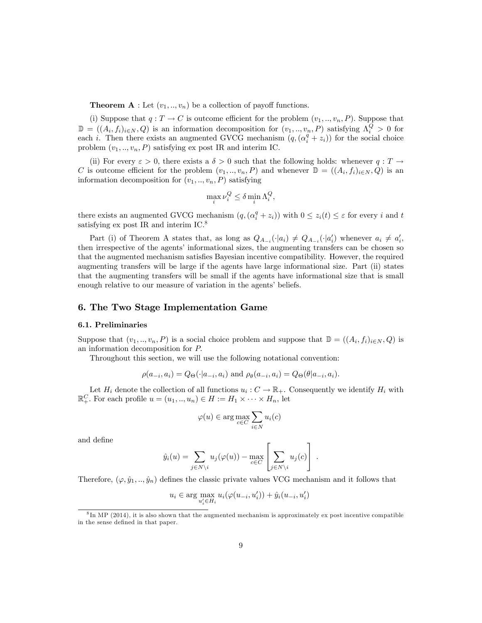**Theorem A** : Let  $(v_1, \ldots, v_n)$  be a collection of payoff functions.

(i) Suppose that  $q: T \to C$  is outcome efficient for the problem  $(v_1, ..., v_n, P)$ . Suppose that  $\mathbb{D} = ((A_i, f_i)_{i \in N}, Q)$  is an information decomposition for  $(v_1, ..., v_n, P)$  satisfying  $\Lambda_i^Q > 0$  for each i. Then there exists an augmented GVCG mechanism  $(q, (\alpha_i^q + z_i))$  for the social choice problem  $(v_1, \ldots, v_n, P)$  satisfying ex post IR and interim IC.

(ii) For every  $\varepsilon > 0$ , there exists a  $\delta > 0$  such that the following holds: whenever  $q: T \to$ C is outcome efficient for the problem  $(v_1, ..., v_n, P)$  and whenever  $\mathbb{D} = ((A_i, f_i)_{i \in N}, Q)$  is an information decomposition for  $(v_1, \ldots, v_n, P)$  satisfying

$$
\max_{i} \nu_i^Q \le \delta \min_{i} \Lambda_i^Q,
$$

there exists an augmented GVCG mechanism  $(q, (\alpha_i^q + z_i))$  with  $0 \leq z_i(t) \leq \varepsilon$  for every i and t satisfying ex post IR and interim IC.<sup>8</sup>

Part (i) of Theorem A states that, as long as  $Q_{A_{-i}}(\cdot|a_i) \neq Q_{A_{-i}}(\cdot|a_i')$  whenever  $a_i \neq a_i'$ , then irrespective of the agents' informational sizes, the augmenting transfers can be chosen so that the augmented mechanism satisfies Bayesian incentive compatibility. However, the required augmenting transfers will be large if the agents have large informational size. Part (ii) states that the augmenting transfers will be small if the agents have informational size that is small enough relative to our measure of variation in the agents' beliefs.

## 6. The Two Stage Implementation Game

#### 6.1. Preliminaries

Suppose that  $(v_1, ..., v_n, P)$  is a social choice problem and suppose that  $\mathbb{D} = ((A_i, f_i)_{i \in N}, Q)$  is an information decomposition for P:

Throughout this section, we will use the following notational convention:

$$
\rho(a_{-i}, a_i) = Q_{\Theta}(\cdot | a_{-i}, a_i) \text{ and } \rho_{\theta}(a_{-i}, a_i) = Q_{\Theta}(\theta | a_{-i}, a_i).
$$

Let  $H_i$  denote the collection of all functions  $u_i: C \to \mathbb{R}_+$ . Consequently we identify  $H_i$  with  $\mathbb{R}^C_+$ . For each profile  $u = (u_1, ..., u_n) \in H := H_1 \times \cdots \times H_n$ , let

$$
\varphi(u) \in \arg\max_{c \in C} \sum_{i \in N} u_i(c)
$$

and define

$$
\hat{y}_i(u) = \sum_{j \in N \setminus i} u_j(\varphi(u)) - \max_{c \in C} \left[ \sum_{j \in N \setminus i} u_j(c) \right].
$$

Therefore,  $(\varphi, \hat{y}_1, \ldots, \hat{y}_n)$  defines the classic private values VCG mechanism and it follows that

$$
u_i \in \arg \max_{u'_i \in H_i} u_i(\varphi(u_{-i}, u'_i)) + \hat{y}_i(u_{-i}, u'_i)
$$

<sup>&</sup>lt;sup>8</sup>In MP (2014), it is also shown that the augmented mechanism is approximately ex post incentive compatible in the sense defined in that paper.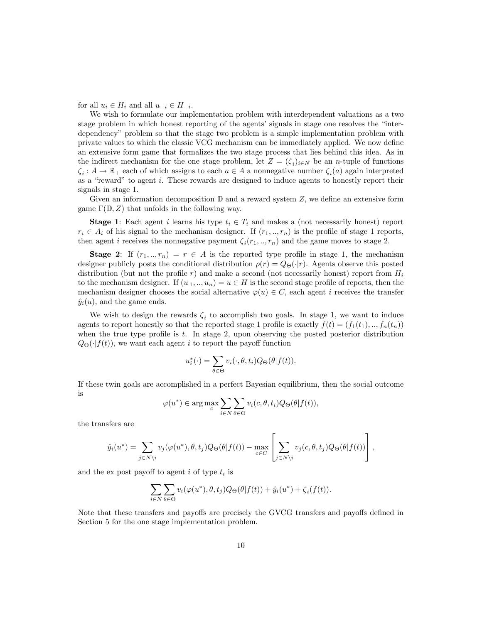for all  $u_i \in H_i$  and all  $u_{-i} \in H_{-i}$ .

We wish to formulate our implementation problem with interdependent valuations as a two stage problem in which honest reporting of the agents' signals in stage one resolves the "interdependencyî problem so that the stage two problem is a simple implementation problem with private values to which the classic VCG mechanism can be immediately applied. We now define an extensive form game that formalizes the two stage process that lies behind this idea. As in the indirect mechanism for the one stage problem, let  $Z = (\zeta_i)_{i \in N}$  be an *n*-tuple of functions  $\zeta_i: A \to \mathbb{R}_+$  each of which assigns to each  $a \in A$  a nonnegative number  $\zeta_i(a)$  again interpreted as a "reward" to agent i. These rewards are designed to induce agents to honestly report their signals in stage 1.

Given an information decomposition  $\mathbb D$  and a reward system  $Z$ , we define an extensive form game  $\Gamma(\mathbb{D}, Z)$  that unfolds in the following way.

**Stage 1:** Each agent i learns his type  $t_i \in T_i$  and makes a (not necessarily honest) report  $r_i \in A_i$  of his signal to the mechanism designer. If  $(r_1, ..., r_n)$  is the profile of stage 1 reports, then agent *i* receives the nonnegative payment  $\zeta_i(r_1, \ldots, r_n)$  and the game moves to stage 2.

**Stage 2:** If  $(r_1, ..., r_n) = r \in A$  is the reported type profile in stage 1, the mechanism designer publicly posts the conditional distribution  $\rho(r) = Q_{\Theta}(\cdot|r)$ . Agents observe this posted distribution (but not the profile r) and make a second (not necessarily honest) report from  $H_i$ to the mechanism designer. If  $(u_1, ..., u_n) = u \in H$  is the second stage profile of reports, then the mechanism designer chooses the social alternative  $\varphi(u) \in C$ , each agent i receives the transfer  $\hat{y}_i(u)$ , and the game ends.

We wish to design the rewards  $\zeta_i$  to accomplish two goals. In stage 1, we want to induce agents to report honestly so that the reported stage 1 profile is exactly  $f(t) = (f_1(t_1),..., f_n(t_n))$ when the true type profile is  $t$ . In stage 2, upon observing the posted posterior distribution  $Q_{\Theta}(\cdot|f(t))$ , we want each agent i to report the payoff function

$$
u_i^*(\cdot) = \sum_{\theta \in \Theta} v_i(\cdot, \theta, t_i) Q_{\Theta}(\theta | f(t)).
$$

If these twin goals are accomplished in a perfect Bayesian equilibrium, then the social outcome is

$$
\varphi(u^*) \in \arg\max_{c} \sum_{i \in N} \sum_{\theta \in \Theta} v_i(c, \theta, t_i) Q_{\Theta}(\theta | f(t)),
$$

the transfers are

$$
\hat{y}_i(u^*) = \sum_{j \in N \setminus i} v_j(\varphi(u^*), \theta, t_j) Q_{\Theta}(\theta | f(t)) - \max_{c \in C} \left[ \sum_{j \in N \setminus i} v_j(c, \theta, t_j) Q_{\Theta}(\theta | f(t)) \right],
$$

and the ex post payoff to agent  $i$  of type  $t_i$  is

$$
\sum_{i \in N} \sum_{\theta \in \Theta} v_i(\varphi(u^*), \theta, t_j) Q_{\Theta}(\theta | f(t)) + \hat{y}_i(u^*) + \zeta_i(f(t)).
$$

Note that these transfers and payoffs are precisely the GVCG transfers and payoffs defined in Section 5 for the one stage implementation problem.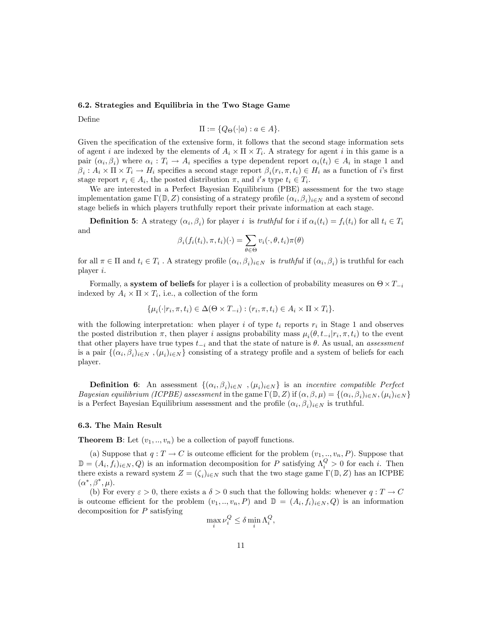#### 6.2. Strategies and Equilibria in the Two Stage Game

Define

$$
\Pi := \{Q_{\Theta}(\cdot | a) : a \in A\}.
$$

Given the specification of the extensive form, it follows that the second stage information sets of agent i are indexed by the elements of  $A_i \times \Pi \times T_i$ . A strategy for agent i in this game is a pair  $(\alpha_i, \beta_i)$  where  $\alpha_i : T_i \to A_i$  specifies a type dependent report  $\alpha_i(t_i) \in A_i$  in stage 1 and  $\beta_i : A_i \times \Pi \times T_i \to H_i$  specifies a second stage report  $\beta_i(r_i, \pi, t_i) \in H_i$  as a function of i's first stage report  $r_i \in A_i$ , the posted distribution  $\pi$ , and i's type  $t_i \in T_i$ .

We are interested in a Perfect Bayesian Equilibrium (PBE) assessment for the two stage implementation game  $\Gamma(\mathbb{D}, Z)$  consisting of a strategy profile  $(\alpha_i, \beta_i)_{i \in N}$  and a system of second stage beliefs in which players truthfully report their private information at each stage.

**Definition 5:** A strategy  $(\alpha_i, \beta_i)$  for player i is truthful for i if  $\alpha_i(t_i) = f_i(t_i)$  for all  $t_i \in T_i$ and

$$
\beta_i(f_i(t_i), \pi, t_i)(\cdot) = \sum_{\theta \in \Theta} v_i(\cdot, \theta, t_i) \pi(\theta)
$$

for all  $\pi \in \Pi$  and  $t_i \in T_i$ . A strategy profile  $(\alpha_i, \beta_i)_{i \in N}$  is truthful if  $(\alpha_i, \beta_i)$  is truthful for each player  $i$ .

Formally, a system of beliefs for player i is a collection of probability measures on  $\Theta \times T_{-i}$ indexed by  $A_i \times \Pi \times T_i$ , i.e., a collection of the form

$$
\{\mu_i(\cdot|r_i,\pi,t_i)\in\Delta(\Theta\times T_{-i}): (r_i,\pi,t_i)\in A_i\times\Pi\times T_i\}.
$$

with the following interpretation: when player i of type  $t_i$  reports  $r_i$  in Stage 1 and observes the posted distribution  $\pi$ , then player i assigns probability mass  $\mu_i(\theta, t_{-i}|r_i, \pi, t_i)$  to the event that other players have true types  $t_{-i}$  and that the state of nature is  $\theta$ . As usual, an assessment is a pair  $\{(\alpha_i, \beta_i)_{i \in N}, (\mu_i)_{i \in N}\}\)$  consisting of a strategy profile and a system of beliefs for each player.

**Definition 6:** An assessment  $\{(\alpha_i, \beta_i)_{i \in N}, (\mu_i)_{i \in N}\}\$ is an *incentive compatible Perfect Bayesian equilibrium (ICPBE) assessment* in the game  $\Gamma(\mathbb{D}, Z)$  if  $(\alpha, \beta, \mu) = \{(\alpha_i, \beta_i)_{i \in N}, (\mu_i)_{i \in N}\}\$ is a Perfect Bayesian Equilibrium assessment and the profile  $(\alpha_i, \beta_i)_{i \in N}$  is truthful.

#### 6.3. The Main Result

**Theorem B:** Let  $(v_1, \ldots, v_n)$  be a collection of payoff functions.

(a) Suppose that  $q: T \to C$  is outcome efficient for the problem  $(v_1, ..., v_n, P)$ . Suppose that  $\mathbb{D}=(A_i,f_i)_{i\in\mathbb{N}},Q$  is an information decomposition for P satisfying  $\Lambda_i^Q>0$  for each i. Then there exists a reward system  $Z = (\zeta_i)_{i \in N}$  such that the two stage game  $\Gamma(\mathbb{D}, Z)$  has an ICPBE  $(\alpha^*, \beta^*, \mu).$ 

(b) For every  $\varepsilon > 0$ , there exists a  $\delta > 0$  such that the following holds: whenever  $q: T \to C$ is outcome efficient for the problem  $(v_1, ..., v_n, P)$  and  $\mathbb{D} = (A_i, f_i)_{i \in N}, Q$  is an information decomposition for  $P$  satisfying

$$
\max_i \nu_i^Q \le \delta \min_i \Lambda_i^Q
$$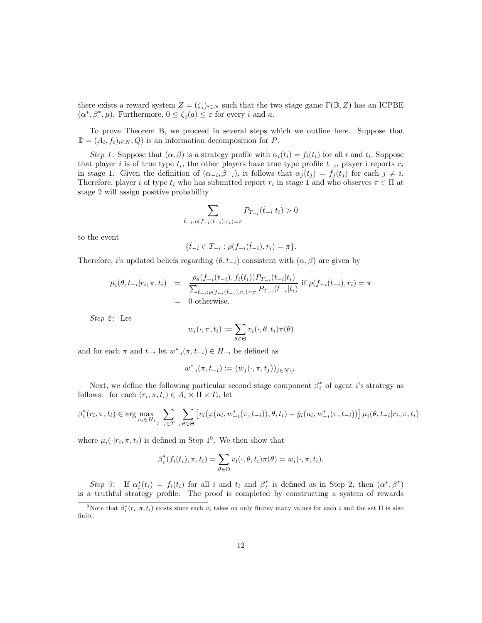there exists a reward system  $Z = (\zeta_i)_{i \in N}$  such that the two stage game  $\Gamma(\mathbb{D}, Z)$  has an ICPBE  $(\alpha^*, \beta^*, \mu)$ . Furthermore,  $0 \le \zeta_i(a) \le \varepsilon$  for every i and a.

To prove Theorem B, we proceed in several steps which we outline here. Suppose that  $\mathbb{D} = (A_i, f_i)_{i \in N}, Q$  is an information decomposition for P.

Step 1: Suppose that  $(\alpha, \beta)$  is a strategy profile with  $\alpha_i(t_i) = f_i(t_i)$  for all i and  $t_i$ . Suppose that player *i* is of true type  $t_i$ , the other players have true type profile  $t_{-i}$ , player i reports  $r_i$ in stage 1. Given the definition of  $(\alpha_{-i}, \beta_{-i})$ , it follows that  $\alpha_j(t_j) = f_j(t_j)$  for each  $j \neq i$ . Therefore, player *i* of type  $t_i$  who has submitted report  $r_i$  in stage 1 and who observes  $\pi \in \Pi$  at stage 2 will assign positive probability

$$
\sum_{\hat{t}_{-i}: \rho(f_{-i}(\hat{t}_{-i}), r_i) = \pi} P_{T_{-i}}(\hat{t}_{-i}|t_i) > 0
$$

to the event

$$
\{\hat{t}_{-i} \in T_{-i} : \rho(f_{-i}(\hat{t}_{-i}), r_i) = \pi\}.
$$

Therefore, i's updated beliefs regarding  $(\theta, t_{-i})$  consistent with  $(\alpha, \beta)$  are given by

$$
\mu_i(\theta, t_{-i}|r_i, \pi, t_i) = \frac{\rho_\theta(f_{-i}(t_{-i}), f_i(t_i)) P_{T_{-i}}(t_{-i}|t_i)}{\sum_{\hat{t}_{-i}:\rho(f_{-i}(\hat{t}_{-i}), r_i) = \pi} P_{T_{-i}}(\hat{t}_{-i}|t_i)} \text{ if } \rho(f_{-i}(t_{-i}), r_i) = \pi
$$
  
= 0 otherwise.

Step 2: Let

$$
\overline{w}_i(\cdot, \pi, t_i) := \sum_{\theta \in \Theta} v_i(\cdot, \theta, t_i) \pi(\theta)
$$

and for each  $\pi$  and  $t_{-i}$  let  $w_{-i}^*(\pi, t_{-i}) \in H_{-i}$  be defined as

$$
w_{-i}^*(\pi, t_{-i}) := (\overline{w}_j(\cdot, \pi, t_j))_{j \in N \setminus i}.
$$

Next, we define the following particular second stage component  $\beta_i^*$  of agent *i*'s strategy as follows: for each  $(r_i, \pi, t_i) \in A_i \times \Pi \times T_i$ , let

$$
\beta_i^*(r_i, \pi, t_i) \in \arg \max_{u_i \in H_i} \sum_{t_{-i} \in T_{-i}} \sum_{\theta \in \Theta} \left[ v_i(\varphi(u_i, w_{-i}^*(\pi, t_{-i})), \theta, t_i) + \hat{y}_i(u_i, w_{-i}^*(\pi, t_{-i})) \right] \mu_i(\theta, t_{-i} | r_i, \pi, t_i)
$$

where  $\mu_i(\cdot|r_i, \pi, t_i)$  is defined in Step 1<sup>9</sup>. We then show that

$$
\beta_i^*(f_i(t_i), \pi, t_i) = \sum_{\theta \in \Theta} v_i(\cdot, \theta, t_i) \pi(\theta) = \overline{w}_i(\cdot, \pi, t_i).
$$

Step 3: If  $\alpha_i^*(t_i) = f_i(t_i)$  for all i and  $t_i$  and  $\beta_i^*$  is defined as in Step 2, then  $(\alpha^*, \beta^*)$ is a truthful strategy profile. The proof is completed by constructing a system of rewards

<sup>&</sup>lt;sup>9</sup>Note that  $\beta_i^*(r_i, \pi, t_i)$  exists since each  $v_i$  takes on only finitey many values for each i and the set  $\Pi$  is also finite.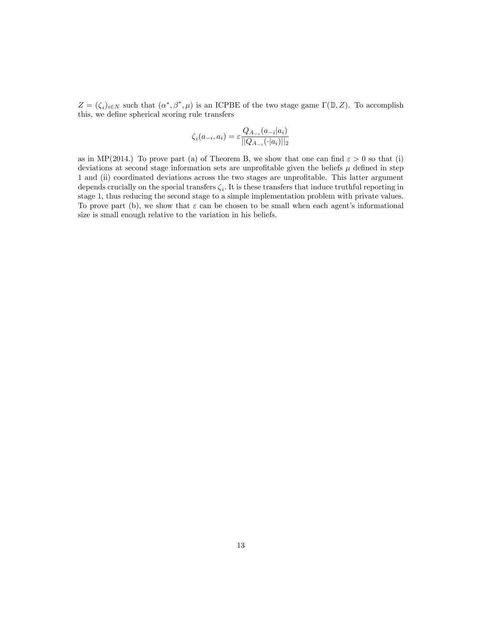$Z = (\zeta_i)_{i \in N}$  such that  $(\alpha^*, \beta^*, \mu)$  is an ICPBE of the two stage game  $\Gamma(\mathbb{D}, Z)$ . To accomplish this, we define spherical scoring rule transfers

$$
\zeta_i(a_{-i}, a_i) = \varepsilon \frac{Q_{A_{-i}}(a_{-i}|a_i)}{||Q_{A_{-i}}(\cdot|a_i)||_2}
$$

as in MP(2014.) To prove part (a) of Theorem B, we show that one can find  $\varepsilon > 0$  so that (i) deviations at second stage information sets are unprofitable given the beliefs  $\mu$  defined in step 1 and (ii) coordinated deviations across the two stages are unprofitable. This latter argument depends crucially on the special transfers  $\zeta_i$ . It is these transfers that induce truthful reporting in stage 1, thus reducing the second stage to a simple implementation problem with private values. To prove part (b), we show that  $\varepsilon$  can be chosen to be small when each agent's informational size is small enough relative to the variation in his beliefs.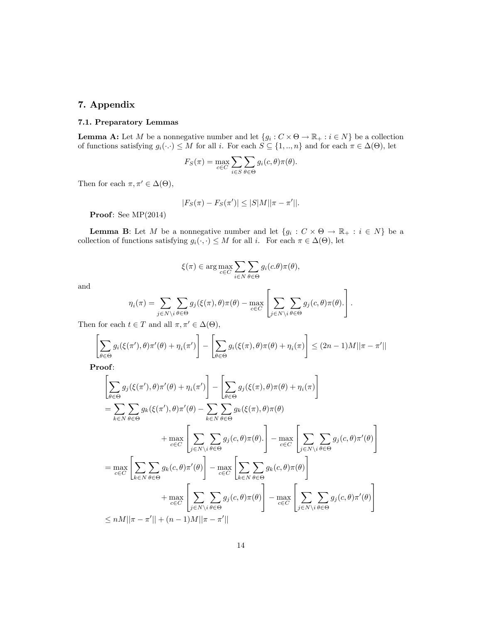## 7. Appendix

#### 7.1. Preparatory Lemmas

**Lemma A:** Let M be a nonnegative number and let  $\{g_i : C \times \Theta \to \mathbb{R}_+ : i \in N\}$  be a collection of functions satisfying  $g_i(\cdot) \leq M$  for all i. For each  $S \subseteq \{1, ..., n\}$  and for each  $\pi \in \Delta(\Theta)$ , let

$$
F_S(\pi) = \max_{c \in C} \sum_{i \in S} \sum_{\theta \in \Theta} g_i(c, \theta) \pi(\theta).
$$

Then for each  $\pi, \pi' \in \Delta(\Theta)$ ,

$$
|F_S(\pi) - F_S(\pi')| \le |S|M||\pi - \pi'||.
$$

Proof: See MP(2014)

**Lemma B:** Let M be a nonnegative number and let  $\{g_i : C \times \Theta \to \mathbb{R}_+ : i \in N\}$  be a collection of functions satisfying  $g_i(\cdot, \cdot) \leq M$  for all i. For each  $\pi \in \Delta(\Theta)$ , let

$$
\xi(\pi) \in \arg\max_{c \in C} \sum_{i \in N} \sum_{\theta \in \Theta} g_i(c.\theta) \pi(\theta),
$$

and

$$
\eta_i(\pi) = \sum_{j \in N \setminus i} \sum_{\theta \in \Theta} g_j(\xi(\pi), \theta) \pi(\theta) - \max_{c \in C} \left[ \sum_{j \in N \setminus i} \sum_{\theta \in \Theta} g_j(c, \theta) \pi(\theta) \right].
$$

Then for each  $t \in T$  and all  $\pi, \pi' \in \Delta(\Theta)$ ,

$$
\left[\sum_{\theta \in \Theta} g_i(\xi(\pi'), \theta) \pi'(\theta) + \eta_i(\pi')\right] - \left[\sum_{\theta \in \Theta} g_i(\xi(\pi), \theta) \pi(\theta) + \eta_i(\pi)\right] \le (2n - 1)M||\pi - \pi'||
$$

Proof:

$$
\left[\sum_{\theta \in \Theta} g_j(\xi(\pi'), \theta) \pi'(\theta) + \eta_i(\pi')\right] - \left[\sum_{\theta \in \Theta} g_j(\xi(\pi), \theta) \pi(\theta) + \eta_i(\pi)\right]
$$
\n
$$
= \sum_{k \in N} \sum_{\theta \in \Theta} g_k(\xi(\pi'), \theta) \pi'(\theta) - \sum_{k \in N} \sum_{\theta \in \Theta} g_k(\xi(\pi), \theta) \pi(\theta)
$$
\n
$$
+ \max_{c \in C} \left[\sum_{j \in N \setminus i} \sum_{\theta \in \Theta} g_j(c, \theta) \pi(\theta)\right] - \max_{c \in C} \left[\sum_{j \in N \setminus i} \sum_{\theta \in \Theta} g_j(c, \theta) \pi'(\theta)\right]
$$
\n
$$
= \max_{c \in C} \left[\sum_{k \in N} \sum_{\theta \in \Theta} g_k(c, \theta) \pi'(\theta)\right] - \max_{c \in C} \left[\sum_{k \in N} \sum_{\theta \in \Theta} g_k(c, \theta) \pi(\theta)\right]
$$
\n
$$
+ \max_{c \in C} \left[\sum_{j \in N \setminus i} \sum_{\theta \in \Theta} g_j(c, \theta) \pi(\theta)\right] - \max_{c \in C} \left[\sum_{j \in N \setminus i} \sum_{\theta \in \Theta} g_j(c, \theta) \pi'(\theta)\right]
$$
\n
$$
\leq nM || \pi - \pi' || + (n - 1)M || \pi - \pi' ||
$$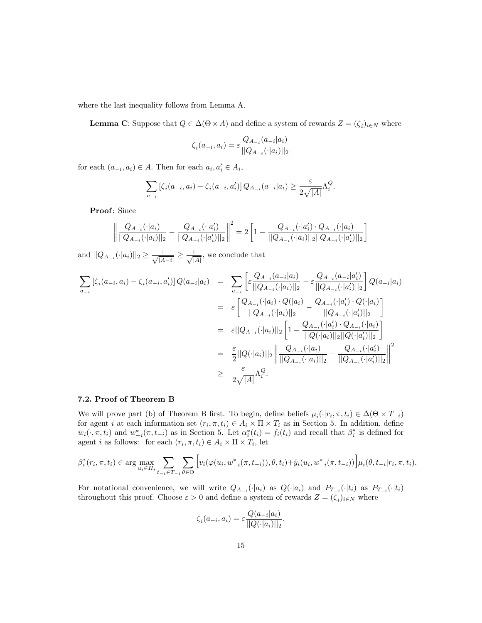where the last inequality follows from Lemma A.

**Lemma C**: Suppose that  $Q \in \Delta(\Theta \times A)$  and define a system of rewards  $Z = (\zeta_i)_{i \in N}$  where

$$
\zeta_i(a_{-i},a_i) = \varepsilon \frac{Q_{A_{-i}}(a_{-i}|a_i)}{||Q_{A_{-i}}(\cdot|a_i)||_2}
$$

for each  $(a_{-i}, a_i) \in A$ . Then for each  $a_i, a'_i \in A_i$ ,

$$
\sum_{a_{-i}} [\zeta_i(a_{-i}, a_i) - \zeta_i(a_{-i}, a'_i)] Q_{A_{-i}}(a_{-i}|a_i) \ge \frac{\varepsilon}{2\sqrt{|A|}} \Lambda_i^Q.
$$

Proof: Since

$$
\left\| \frac{Q_{A_{-i}}(\cdot|a_i)}{||Q_{A_{-i}}(\cdot|a_i)||_2} - \frac{Q_{A_{-i}}(\cdot|a'_i)}{||Q_{A_{-i}}(\cdot|a'_i)||_2} \right\|^2 = 2\left[1 - \frac{Q_{A_{-i}}(\cdot|a'_i) \cdot Q_{A_{-i}}(\cdot|a_i)}{||Q_{A_{-i}}(\cdot|a_i)||_2||Q_{A_{-i}}(\cdot|a'_i)||_2}\right]
$$

and  $||Q_{A_{-i}}(\cdot | a_i)||_2 \ge \frac{1}{\sqrt{|A-i|}} \ge \frac{1}{\sqrt{|A|}}$ , we conclude that

$$
\sum_{a_{-i}} [\zeta_i(a_{-i}, a_i) - \zeta_i(a_{-i}, a'_i)] Q(a_{-i}|a_i) = \sum_{a_{-i}} \left[ \varepsilon \frac{Q_{A_{-i}}(a_{-i}|a_i)}{||Q_{A_{-i}}(\cdot|a_i)||_2} - \varepsilon \frac{Q_{A_{-i}}(a_{-i}|a'_i)}{||Q_{A_{-i}}(\cdot|a'_i)||_2} \right] Q(a_{-i}|a_i)
$$
  
\n
$$
= \varepsilon \left[ \frac{Q_{A_{-i}}(\cdot|a_i) \cdot Q(|a_i)}{||Q_{A_{-i}}(\cdot|a_i)||_2} - \frac{Q_{A_{-i}}(\cdot|a'_i) \cdot Q(\cdot|a_i)}{||Q_{A_{-i}}(\cdot|a'_i)||_2} \right]
$$
  
\n
$$
= \varepsilon ||Q_{A_{-i}}(\cdot|a_i)||_2 \left[ 1 - \frac{Q_{A_{-i}}(\cdot|a'_i) \cdot Q_{A_{-i}}(\cdot|a_i)}{||Q(\cdot|a_i)||_2||Q(\cdot|a'_i)||_2} \right]
$$
  
\n
$$
= \frac{\varepsilon}{2} ||Q(\cdot|a_i)||_2 \left\| \frac{Q_{A_{-i}}(\cdot|a_i)}{||Q_{A_{-i}}(\cdot|a_i)||_2} - \frac{Q_{A_{-i}}(\cdot|a'_i)}{||Q_{A_{-i}}(\cdot|a'_i)||_2} \right\|^2
$$
  
\n
$$
\geq \frac{\varepsilon}{2\sqrt{|A|}} \Lambda_i^Q.
$$

#### 7.2. Proof of Theorem B

We will prove part (b) of Theorem B first. To begin, define beliefs  $\mu_i(\cdot|r_i, \pi, t_i) \in \Delta(\Theta \times T_{-i})$ for agent *i* at each information set  $(r_i, \pi, t_i) \in A_i \times \Pi \times T_i$  as in Section 5. In addition, define  $\overline{w}_i(\cdot, \pi, t_i)$  and  $w_{-i}^*(\pi, t_{-i})$  as in Section 5. Let  $\alpha_i^*(t_i) = f_i(t_i)$  and recall that  $\beta_i^*$  is defined for agent *i* as follows: for each  $(r_i, \pi, t_i) \in A_i \times \Pi \times T_i$ , let

$$
\beta_i^*(r_i, \pi, t_i) \in \arg \max_{u_i \in H_i} \sum_{t-i \in T_{-i}} \sum_{\theta \in \Theta} \left[ v_i(\varphi(u_i, w_{-i}^*(\pi, t_{-i})), \theta, t_i) + \hat{y}_i(u_i, w_{-i}^*(\pi, t_{-i})) \right] \mu_i(\theta, t_{-i} | r_i, \pi, t_i).
$$

For notational convenience, we will write  $Q_{A_{-i}}(\cdot|a_i)$  as  $Q(\cdot|a_i)$  and  $P_{T_{-i}}(\cdot|t_i)$  as  $P_{T_{-i}}(\cdot|t_i)$ throughout this proof. Choose  $\varepsilon > 0$  and define a system of rewards  $Z = (\zeta_i)_{i \in N}$  where

$$
\zeta_i(a_{-i}, a_i) = \varepsilon \frac{Q(a_{-i}|a_i)}{||Q(\cdot|a_i)||_2}.
$$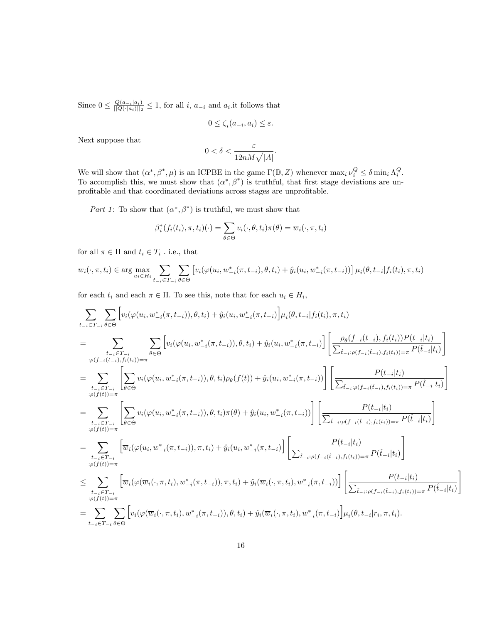Since  $0 \leq \frac{Q(a_{-i}|a_i)}{||Q(\cdot|a_i)||_2}$  $\frac{Q(a_{-i}|a_i)}{||Q(\cdot|a_i)||_2} \leq 1$ , for all i,  $a_{-i}$  and  $a_i$  it follows that

$$
0 \le \zeta_i(a_{-i}, a_i) \le \varepsilon.
$$

Next suppose that

$$
0 < \delta < \frac{\varepsilon}{12nM\sqrt{|A|}}.
$$

We will show that  $(\alpha^*, \beta^*, \mu)$  is an ICPBE in the game  $\Gamma(\mathbb{D}, Z)$  whenever  $\max_i \nu_i^Q \leq \delta \min_i \Lambda_i^Q$ . To accomplish this, we must show that  $(\alpha^*, \beta^*)$  is truthful, that first stage deviations are unprofitable and that coordinated deviations across stages are unprofitable.

Part 1: To show that  $(\alpha^*, \beta^*)$  is truthful, we must show that

$$
\beta_i^*(f_i(t_i), \pi, t_i)(\cdot) = \sum_{\theta \in \Theta} v_i(\cdot, \theta, t_i) \pi(\theta) = \overline{w}_i(\cdot, \pi, t_i)
$$

for all  $\pi \in \Pi$  and  $t_i \in T_i$  . i.e., that

$$
\overline{w}_i(\cdot, \pi, t_i) \in \arg \max_{u_i \in H_i} \sum_{t_{-i} \in T_{-i}} \sum_{\theta \in \Theta} \left[ v_i(\varphi(u_i, w_{-i}^*(\pi, t_{-i}), \theta, t_i) + \hat{y}_i(u_i, w_{-i}^*(\pi, t_{-i})) \right] \mu_i(\theta, t_{-i} | f_i(t_i), \pi, t_i)
$$

for each  $t_i$  and each  $\pi \in \Pi$ . To see this, note that for each  $u_i \in H_i$ ,

$$
\sum_{t_{-i}\in T_{-i}}\sum_{\theta\in\Theta}\left[v_{i}(\varphi(u_{i},w_{-i}^{*}(\pi,t_{-i})),\theta,t_{i})+\hat{y}_{i}(u_{i},w_{-i}^{*}(\pi,t_{-i})\right]\mu_{i}(\theta,t_{-i}|f_{i}(t_{i}),\pi,t_{i})
$$
\n
$$
=\sum_{t_{-i}\in T_{-i}\atop t_{-i}(f_{-i}(t_{-i}),f_{i}(t_{i}))=\pi}\sum_{\theta\in\Theta}\left[v_{i}(\varphi(u_{i},w_{-i}^{*}(\pi,t_{-i})),\theta,t_{i})+\hat{y}_{i}(u_{i},w_{-i}^{*}(\pi,t_{-i})\right)\left[\frac{\rho_{\theta}(f_{-i}(t_{-i}),f_{i}(t_{i}))P(t_{-i}|t_{i})}{\sum_{\hat{t}_{-i}: \varphi(f_{-i}(t_{-i}),f_{i}(t_{i}))=\pi}P(\hat{t}_{-i}|t_{i})}\right]
$$
\n
$$
=\sum_{t_{-i}\in T_{-i}\atop t_{\beta}(f(t))=\pi}\left[\sum_{\theta\in\Theta}v_{i}(\varphi(u_{i},w_{-i}^{*}(\pi,t_{-i})),\theta,t_{i})\rho_{\theta}(f(t)) + \hat{y}_{i}(u_{i},w_{-i}^{*}(\pi,t_{-i}))\right]\left[\frac{P(t_{-i}|t_{i})}{\sum_{\hat{t}_{-i}: \rho(f_{-i}(t_{-i}),f_{i}(t_{i}))=\pi}P(\hat{t}_{-i}|t_{i})}\right]
$$
\n
$$
=\sum_{t_{-i}\in T_{-i}\atop t_{\beta}(f(t))=\pi}\left[\sum_{\theta\in\Theta}v_{i}(\varphi(u_{i},w_{-i}^{*}(\pi,t_{-i})),\theta,t_{i})\pi(\theta)+\hat{y}_{i}(u_{i},w_{-i}^{*}(\pi,t_{-i}))\right]\left[\frac{P(t_{-i}|t_{i})}{\sum_{\hat{t}_{-i}: \rho(f_{-i}(t_{-i}),f_{i}(t_{i}))=\pi}P(\hat{t}_{-i}|t_{i})}\right]
$$
\n
$$
=\sum_{t_{-i}\in T_{-i}\atop t_{\beta}(f(t))=\pi}\left[\overline{w}_{i}(\varphi(u_{i},w_{-i}^{*}(\pi,t_{-i})),\pi,t_{
$$

1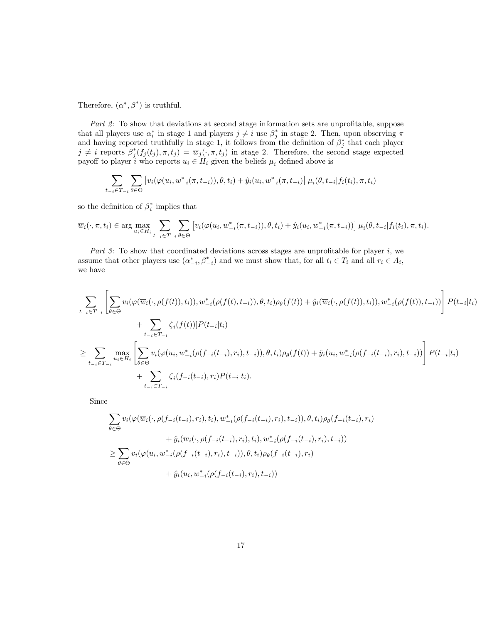Therefore,  $(\alpha^*, \beta^*)$  is truthful.

Part  $2$ : To show that deviations at second stage information sets are unprofitable, suppose that all players use  $\alpha_i^*$  in stage 1 and players  $j \neq i$  use  $\beta_j^*$  in stage 2. Then, upon observing  $\pi$ and having reported truthfully in stage 1, it follows from the definition of  $\beta_j^*$  that each player  $j \neq i$  reports  $\beta_j^*(f_j(t_j), \pi, t_j) = \overline{w}_j(\cdot, \pi, t_j)$  in stage 2. Therefore, the second stage expected payoff to player i who reports  $u_i \in H_i$  given the beliefs  $\mu_i$  defined above is

$$
\sum_{t_{-i}\in T_{-i}}\sum_{\theta\in\Theta}\left[v_i(\varphi(u_i,w_{-i}^*(\pi,t_{-i})),\theta,t_i)+\hat{y}_i(u_i,w_{-i}^*(\pi,t_{-i})\right]\mu_i(\theta,t_{-i}|f_i(t_i),\pi,t_i)
$$

so the definition of  $\beta_i^*$  implies that

$$
\overline{w}_i(\cdot, \pi, t_i) \in \arg \max_{u_i \in H_i} \sum_{t_{-i} \in T_{-i}} \sum_{\theta \in \Theta} \left[ v_i(\varphi(u_i, w_{-i}^*(\pi, t_{-i})), \theta, t_i) + \hat{y}_i(u_i, w_{-i}^*(\pi, t_{-i})) \right] \mu_i(\theta, t_{-i} | f_i(t_i), \pi, t_i).
$$

Part 3: To show that coordinated deviations across stages are unprofitable for player  $i$ , we assume that other players use  $(\alpha^*_{-i}, \beta^*_{-i})$  and we must show that, for all  $t_i \in T_i$  and all  $r_i \in A_i$ , we have

$$
\sum_{t_{-i}\in T_{-i}} \left[ \sum_{\theta\in\Theta} v_i(\varphi(\overline{w}_i(\cdot,\rho(f(t)),t_i)),w_{-i}^*(\rho(f(t),t_{-i})),\theta,t_i)\rho_{\theta}(f(t)) + \hat{y}_i(\overline{w}_i(\cdot,\rho(f(t)),t_i)),w_{-i}^*(\rho(f(t)),t_{-i})) \right] P(t_{-i}|t_i) + \sum_{t_{-i}\in T_{-i}} \zeta_i(f(t))] P(t_{-i}|t_i) \geq \sum_{t_{-i}\in T_{-i}} \max_{u_i\in H_i} \left[ \sum_{\theta\in\Theta} v_i(\varphi(u_i,w_{-i}^*(\rho(f_{-i}(t_{-i}),r_i),t_{-i})),\theta,t_i)\rho_{\theta}(f(t)) + \hat{y}_i(u_i,w_{-i}^*(\rho(f_{-i}(t_{-i}),r_i),t_{-i})) \right] P(t_{-i}|t_i) + \sum_{t_{-i}\in T_{-i}} \zeta_i(f_{-i}(t_{-i}),r_i) P(t_{-i}|t_i).
$$

Since

$$
\sum_{\theta \in \Theta} v_i(\varphi(\overline{w}_i(\cdot, \rho(f_{-i}(t_{-i}), r_i), t_i), w_{-i}^*(\rho(f_{-i}(t_{-i}), r_i), t_{-i})), \theta, t_i)\rho_{\theta}(f_{-i}(t_{-i}), r_i) \n+ \hat{y}_i(\overline{w}_i(\cdot, \rho(f_{-i}(t_{-i}), r_i), t_i), w_{-i}^*(\rho(f_{-i}(t_{-i}), r_i), t_{-i})) \n\ge \sum_{\theta \in \Theta} v_i(\varphi(u_i, w_{-i}^*(\rho(f_{-i}(t_{-i}), r_i), t_{-i})), \theta, t_i)\rho_{\theta}(f_{-i}(t_{-i}), r_i) \n+ \hat{y}_i(u_i, w_{-i}^*(\rho(f_{-i}(t_{-i}), r_i), t_{-i}))
$$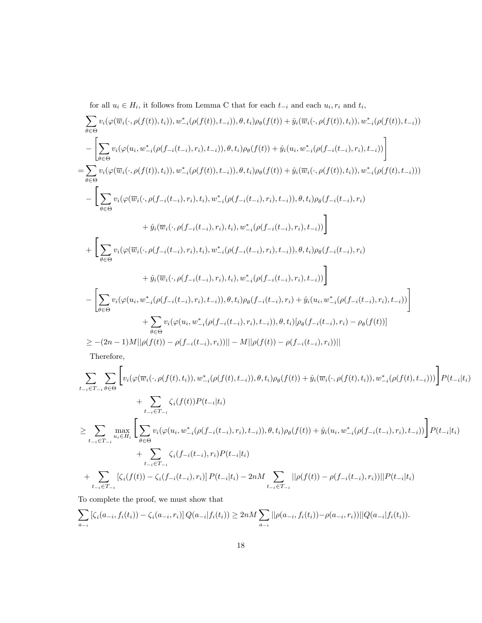for all  $u_i \in H_i$ , it follows from Lemma C that for each  $t_{-i}$  and each  $u_i, r_i$  and  $t_i$ ,

$$
\sum_{\theta \in \Theta} v_{i}(\varphi(\overline{w}_{i}(\cdot,\rho(f(t)),t_{i})),w_{-i}^{*}(\rho(f(t)),t_{-i})),\theta,t_{i})\rho_{\theta}(f(t)) + \hat{y}_{i}(\overline{w}_{i}(\cdot,\rho(f(t)),t_{i})),w_{-i}^{*}(\rho(f(t)),t_{-i}))
$$
\n
$$
-\left[\sum_{\theta \in \Theta} v_{i}(\varphi(u_{i},w_{-i}^{*}(\rho(f_{-i}(t_{-i}),r_{i}),t_{-i})),\theta,t_{i})\rho_{\theta}(f(t)) + \hat{y}_{i}(u_{i},w_{-i}^{*}(\rho(f_{-i}(t_{-i}),r_{i}),t_{-i}))\right]
$$
\n
$$
=\sum_{\theta \in \Theta} v_{i}(\varphi(\overline{w}_{i}(\cdot,\rho(f(t)),t_{i})),w_{-i}^{*}(\rho(f(t)),t_{-i})),\theta,t_{i})\rho_{\theta}(f(t)) + \hat{y}_{i}(\overline{w}_{i}(\cdot,\rho(f(t)),t_{i})),w_{-i}^{*}(\rho(f(t),t_{-i})))
$$
\n
$$
-\left[\sum_{\theta \in \Theta} v_{i}(\varphi(\overline{w}_{i}(\cdot,\rho(f_{-i}(t_{-i}),r_{i}),t_{i}),w_{-i}^{*}(\rho(f_{-i}(t_{-i}),r_{i}),t_{-i})),\theta,t_{i})\rho_{\theta}(f_{-i}(t_{-i}),r_{i})\right]
$$
\n
$$
+\hat{y}_{i}(\overline{w}_{i}(\cdot,\rho(f_{-i}(t_{-i}),r_{i}),t_{i}),w_{-i}^{*}(\rho(f_{-i}(t_{-i}),r_{i}),t_{-i})),\theta,t_{i})\rho_{\theta}(f_{-i}(t_{-i}),r_{i})
$$
\n
$$
+\hat{y}_{i}(\overline{w}_{i}(\cdot,\rho(f_{-i}(t_{-i}),r_{i}),t_{i}),w_{-i}^{*}(\rho(f_{-i}(t_{-i}),r_{i}),t_{-i}))\right]
$$
\n
$$
-\left[\sum_{\theta \in \Theta} v_{i}(\varphi(u_{i},w_{-i}^{*}(\rho(f_{-i}(t_{-i}),r_{i}),t_{-i})),\theta,t_{i})\rho_{\theta}(f_{-i}(t_{-i}),r_{i}),t_{-i}))\right
$$

Therefore,

$$
\sum_{t_{-i}\in T_{-i}}\sum_{\theta\in\Theta}\left[v_{i}(\varphi(\overline{w}_{i}(\cdot,\rho(f(t),t_{i})),w_{-i}^{*}(\rho(f(t),t_{-i})),\theta,t_{i})\rho_{\theta}(f(t)) + \hat{y}_{i}(\overline{w}_{i}(\cdot,\rho(f(t),t_{i})),w_{-i}^{*}(\rho(f(t),t_{-i})))\right]P(t_{-i}|t_{i}) + \sum_{t_{-i}\in T_{-i}}\zeta_{i}(f(t))P(t_{-i}|t_{i})
$$
\n
$$
\geq \sum_{t_{-i}\in T_{-i}}\max_{u_{i}\in H_{i}}\left[\sum_{\theta\in\Theta}v_{i}(\varphi(u_{i},w_{-i}^{*}(\rho(f_{-i}(t_{-i}),r_{i}),t_{-i})),\theta,t_{i})\rho_{\theta}(f(t)) + \hat{y}_{i}(u_{i},w_{-i}^{*}(\rho(f_{-i}(t_{-i}),r_{i}),t_{-i}))\right]P(t_{-i}|t_{i}) + \sum_{t_{-i}\in T_{-i}}\zeta_{i}(f_{-i}(t_{-i}),r_{i})P(t_{-i}|t_{i})
$$
\n
$$
+ \sum_{t_{-i}\in T_{-i}}\zeta_{i}(f_{-i}(t_{-i}),r_{i})P(t_{-i}|t_{i}) - 2nM\sum_{t_{-i}\in T_{-i}}||\rho(f(t)) - \rho(f_{-i}(t_{-i}),r_{i}))||P(t_{-i}|t_{i})
$$

To complete the proof, we must show that

$$
\sum_{a_{-i}} [\zeta_i(a_{-i}, f_i(t_i)) - \zeta_i(a_{-i}, r_i)] Q(a_{-i}|f_i(t_i)) \geq 2n M \sum_{a_{-i}} ||\rho(a_{-i}, f_i(t_i)) - \rho(a_{-i}, r_i))||Q(a_{-i}|f_i(t_i)).
$$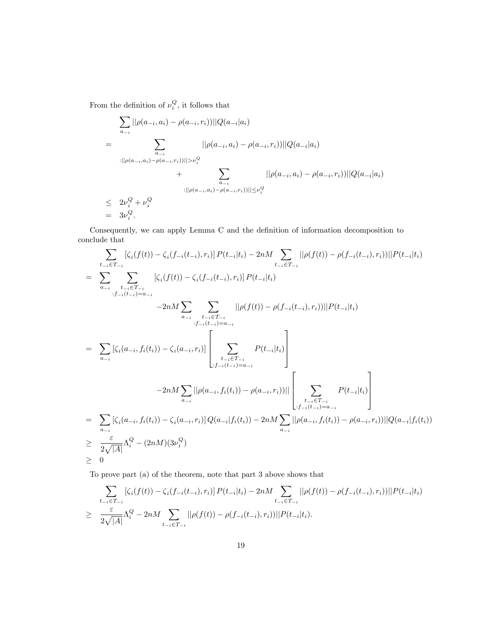From the definition of  $\nu_i^Q$ , it follows that

$$
\sum_{a_{-i}} ||\rho(a_{-i}, a_i) - \rho(a_{-i}, r_i))||Q(a_{-i}|a_i)
$$
\n
$$
= \sum_{\substack{a_{-i} \\ a_{-i}}} ||\rho(a_{-i}, a_i) - \rho(a_{-i}, r_i)|| \ge \nu_i^Q
$$
\n
$$
+ \sum_{\substack{a_{-i} \\ a_{-i}}} ||\rho(a_{-i}, a_i) - \rho(a_{-i}, r_i)|| \ge \nu_i^Q
$$
\n
$$
\le 2\nu_i^Q + \nu_i^Q
$$
\n
$$
= 3\nu_i^Q.
$$

Consequently, we can apply Lemma C and the definition of information decomposition to conclude that

$$
\sum_{t_{-i}\in T_{-i}} [\zeta_i(f(t)) - \zeta_i(f_{-i}(t_{-i}), r_i)] P(t_{-i}|t_i) - 2nM \sum_{t_{-i}\in T_{-i}} ||\rho(f(t)) - \rho(f_{-i}(t_{-i}), r_i)||P(t_{-i}|t_i)
$$
\n
$$
= \sum_{a_{-i}} \sum_{t_{-i}\in T_{-i}} [\zeta_i(f(t)) - \zeta_i(f_{-i}(t_{-i}), r_i)] P(t_{-i}|t_i)
$$
\n
$$
-2nM \sum_{a_{-i}} \sum_{t_{-i}\in T_{-i}} ||\rho(f(t)) - \rho(f_{-i}(t_{-i}), r_i)||P(t_{-i}|t_i)
$$
\n
$$
= \sum_{a_{-i}} [\zeta_i(a_{-i}, f_i(t_i)) - \zeta_i(a_{-i}, r_i)] \left[ \sum_{t_{-i}\in T_{-i}} P(t_{-i}|t_i) \right]
$$
\n
$$
-2nM \sum_{a_{-i}} ||\rho(a_{-i}, f_i(t_i)) - \rho(a_{-i}, r_i)|| \left[ \sum_{t_{-i}\in T_{-i}} P(t_{-i}|t_i) \right]
$$
\n
$$
= \sum_{a_{-i}} [\zeta_i(a_{-i}, f_i(t_i)) - \zeta_i(a_{-i}, r_i)] Q(a_{-i}|f_i(t_i)) - 2nM \sum_{a_{-i}} ||\rho(a_{-i}, f_i(t_i)) - \rho(a_{-i}, r_i)||] Q(a_{-i}|f_i(t_i))
$$
\n
$$
\geq \frac{\varepsilon}{2\sqrt{|A|}} \Lambda_i^Q - (2nM)(3\nu_i^Q)
$$
\n
$$
\geq 0
$$

To prove part (a) of the theorem, note that part 3 above shows that

$$
\sum_{t_{-i}\in T_{-i}} [\zeta_i(f(t)) - \zeta_i(f_{-i}(t_{-i}), r_i)] P(t_{-i}|t_i) - 2nM \sum_{t_{-i}\in T_{-i}} ||\rho(f(t)) - \rho(f_{-i}(t_{-i}), r_i))||P(t_{-i}|t_i) \n\geq \frac{\varepsilon}{2\sqrt{|A|}} \Lambda_i^Q - 2nM \sum_{t_{-i}\in T_{-i}} ||\rho(f(t)) - \rho(f_{-i}(t_{-i}), r_i))||P(t_{-i}|t_i).
$$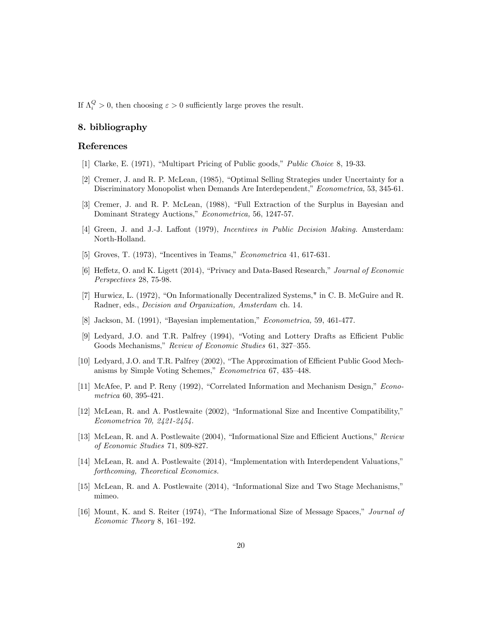If  $\Lambda_i^Q > 0$ , then choosing  $\varepsilon > 0$  sufficiently large proves the result.

## 8. bibliography

#### References

- [1] Clarke, E. (1971), "Multipart Pricing of Public goods," *Public Choice* 8, 19-33.
- [2] Cremer, J. and R. P. McLean, (1985), "Optimal Selling Strategies under Uncertainty for a Discriminatory Monopolist when Demands Are Interdependent," Econometrica, 53, 345-61.
- [3] Cremer, J. and R. P. McLean, (1988), "Full Extraction of the Surplus in Bayesian and Dominant Strategy Auctions," Econometrica, 56, 1247-57.
- [4] Green, J. and J.-J. Laffont (1979), Incentives in Public Decision Making. Amsterdam: North-Holland.
- [5] Groves, T. (1973), "Incentives in Teams," *Econometrica* 41, 617-631.
- [6] Heffetz, O. and K. Ligett (2014), "Privacy and Data-Based Research," Journal of Economic Perspectives 28, 75-98.
- [7] Hurwicz, L. (1972), "On Informationally Decentralized Systems," in C. B. McGuire and R. Radner, eds., *Decision and Organization*, *Amsterdam* ch. 14.
- [8] Jackson, M. (1991), "Bayesian implementation," *Econometrica*, 59, 461-477.
- [9] Ledyard, J.O. and T.R. Palfrey (1994), "Voting and Lottery Drafts as Efficient Public Goods Mechanisms," Review of Economic Studies 61, 327-355.
- [10] Ledyard, J.O. and T.R. Palfrey (2002), "The Approximation of Efficient Public Good Mechanisms by Simple Voting Schemes," Econometrica 67, 435-448.
- [11] McAfee, P. and P. Reny (1992), "Correlated Information and Mechanism Design," Econo $metrica\ 60, 395-421.$
- [12] McLean, R. and A. Postlewaite (2002), "Informational Size and Incentive Compatibility," Econometrica 70, 2421-2454.
- [13] McLean, R. and A. Postlewaite (2004), "Informational Size and Efficient Auctions," Review of Economic Studies 71, 809-827.
- [14] McLean, R. and A. Postlewaite (2014), "Implementation with Interdependent Valuations," forthcoming, Theoretical Economics.
- [15] McLean, R. and A. Postlewaite (2014), "Informational Size and Two Stage Mechanisms," mimeo.
- [16] Mount, K. and S. Reiter (1974), "The Informational Size of Message Spaces," Journal of *Economic Theory* 8, 161–192.